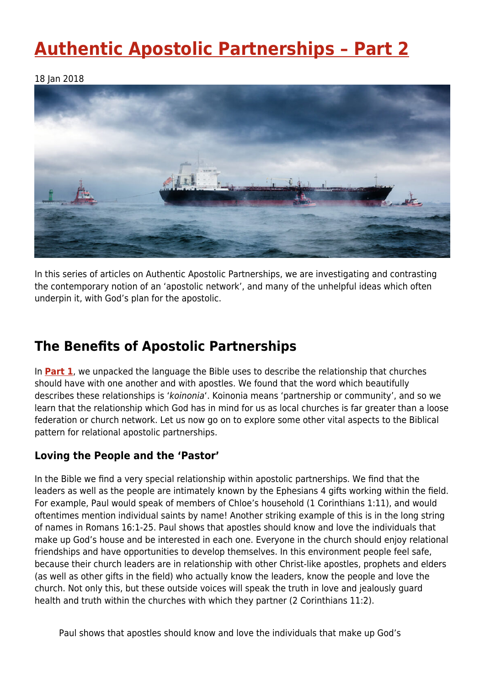# **[Authentic Apostolic Partnerships – Part 2](https://four12global.com/articles/authentic-apostolic-partnerships-part-2/)**

18 Jan 2018



In this series of articles on Authentic Apostolic Partnerships, we are investigating and contrasting the contemporary notion of an 'apostolic network', and many of the unhelpful ideas which often underpin it, with God's plan for the apostolic.

# **The Benefits of Apostolic Partnerships**

In **[Part 1](https://www.archive.four12global.com/articles/theology/authentic-apostolic-partnerships-part-1/)**, we unpacked the language the Bible uses to describe the relationship that churches should have with one another and with apostles. We found that the word which beautifully describes these relationships is 'koinonia'. Koinonia means 'partnership or community', and so we learn that the relationship which God has in mind for us as local churches is far greater than a loose federation or church network. Let us now go on to explore some other vital aspects to the Biblical pattern for relational apostolic partnerships.

## **Loving the People and the 'Pastor'**

In the Bible we find a very special relationship within apostolic partnerships. We find that the leaders as well as the people are intimately known by the Ephesians 4 gifts working within the field. For example, Paul would speak of members of Chloe's household (1 Corinthians 1:11), and would oftentimes mention individual saints by name! Another striking example of this is in the long string of names in Romans 16:1-25. Paul shows that apostles should know and love the individuals that make up God's house and be interested in each one. Everyone in the church should enjoy relational friendships and have opportunities to develop themselves. In this environment people feel safe, because their church leaders are in relationship with other Christ-like apostles, prophets and elders (as well as other gifts in the field) who actually know the leaders, know the people and love the church. Not only this, but these outside voices will speak the truth in love and jealously guard health and truth within the churches with which they partner (2 Corinthians 11:2).

Paul shows that apostles should know and love the individuals that make up God's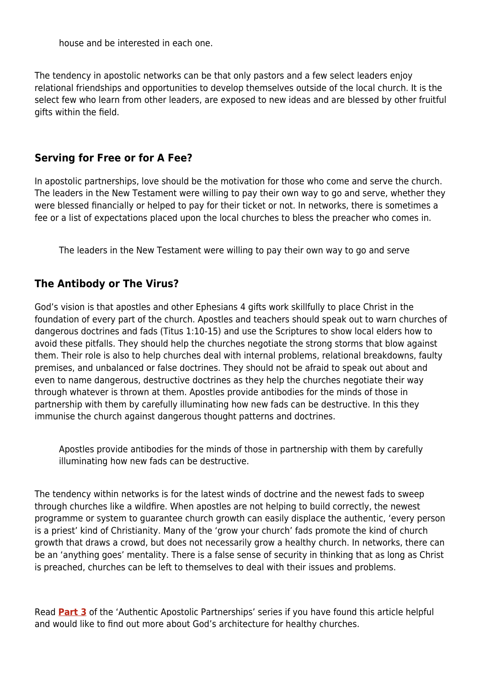house and be interested in each one.

The tendency in apostolic networks can be that only pastors and a few select leaders enjoy relational friendships and opportunities to develop themselves outside of the local church. It is the select few who learn from other leaders, are exposed to new ideas and are blessed by other fruitful gifts within the field.

### **Serving for Free or for A Fee?**

In apostolic partnerships, love should be the motivation for those who come and serve the church. The leaders in the New Testament were willing to pay their own way to go and serve, whether they were blessed financially or helped to pay for their ticket or not. In networks, there is sometimes a fee or a list of expectations placed upon the local churches to bless the preacher who comes in.

The leaders in the New Testament were willing to pay their own way to go and serve

### **The Antibody or The Virus?**

God's vision is that apostles and other Ephesians 4 gifts work skillfully to place Christ in the foundation of every part of the church. Apostles and teachers should speak out to warn churches of dangerous doctrines and fads (Titus 1:10-15) and use the Scriptures to show local elders how to avoid these pitfalls. They should help the churches negotiate the strong storms that blow against them. Their role is also to help churches deal with internal problems, relational breakdowns, faulty premises, and unbalanced or false doctrines. They should not be afraid to speak out about and even to name dangerous, destructive doctrines as they help the churches negotiate their way through whatever is thrown at them. Apostles provide antibodies for the minds of those in partnership with them by carefully illuminating how new fads can be destructive. In this they immunise the church against dangerous thought patterns and doctrines.

Apostles provide antibodies for the minds of those in partnership with them by carefully illuminating how new fads can be destructive.

The tendency within networks is for the latest winds of doctrine and the newest fads to sweep through churches like a wildfire. When apostles are not helping to build correctly, the newest programme or system to guarantee church growth can easily displace the authentic, 'every person is a priest' kind of Christianity. Many of the 'grow your church' fads promote the kind of church growth that draws a crowd, but does not necessarily grow a healthy church. In networks, there can be an 'anything goes' mentality. There is a false sense of security in thinking that as long as Christ is preached, churches can be left to themselves to deal with their issues and problems.

Read **[Part 3](https://www.archive.four12global.com/articles/theology/authentic-apostolic-partnerships-part-3/)** of the 'Authentic Apostolic Partnerships' series if you have found this article helpful and would like to find out more about God's architecture for healthy churches.